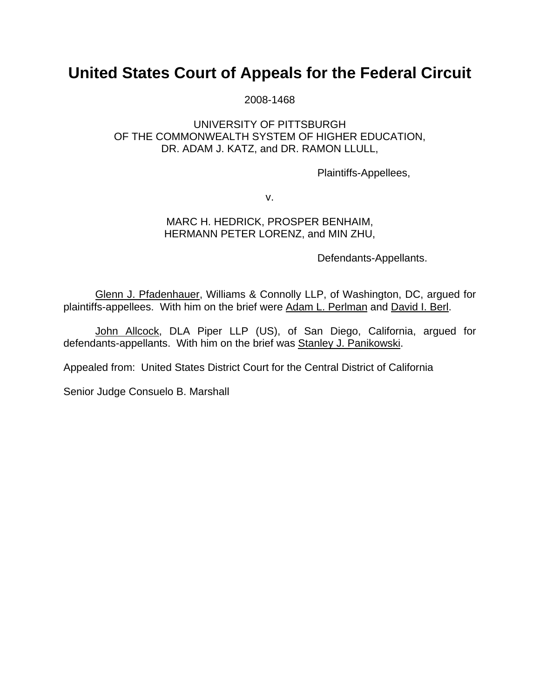# **United States Court of Appeals for the Federal Circuit**

2008-1468

## UNIVERSITY OF PITTSBURGH OF THE COMMONWEALTH SYSTEM OF HIGHER EDUCATION, DR. ADAM J. KATZ, and DR. RAMON LLULL,

Plaintiffs-Appellees,

v.

## MARC H. HEDRICK, PROSPER BENHAIM, HERMANN PETER LORENZ, and MIN ZHU,

Defendants-Appellants.

Glenn J. Pfadenhauer, Williams & Connolly LLP, of Washington, DC, argued for plaintiffs-appellees. With him on the brief were Adam L. Perlman and David I. Berl.

John Allcock, DLA Piper LLP (US), of San Diego, California, argued for defendants-appellants. With him on the brief was Stanley J. Panikowski.

Appealed from: United States District Court for the Central District of California

Senior Judge Consuelo B. Marshall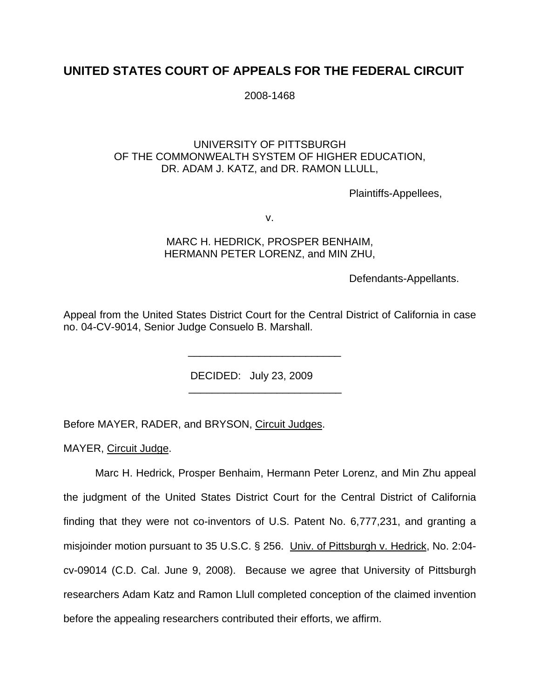# **UNITED STATES COURT OF APPEALS FOR THE FEDERAL CIRCUIT**

 $2008-1468$ 

#### UNIVERSITY OF PITTSBURGH OF THE COMMONWEALTH SYSTEM OF HIGHER EDUCATION, DR. ADAM J. KATZ, and DR. RAMON LLULL,

Plaintiffs-Appellees,

v.

#### MARC H. HEDRICK, PROSPER BENHAIM, HERMANN PETER LORENZ, and MIN ZHU,

Defendants-Appellants.

Appeal from the United States District Court for the Central District of California in case no. 04-CV-9014, Senior Judge Consuelo B. Marshall.

DECIDED: July 23, 2009

Before MAYER, RADER, and BRYSON, Circuit Judges.

 $\frac{1}{\sqrt{2}}$  ,  $\frac{1}{\sqrt{2}}$  ,  $\frac{1}{\sqrt{2}}$  ,  $\frac{1}{\sqrt{2}}$  ,  $\frac{1}{\sqrt{2}}$  ,  $\frac{1}{\sqrt{2}}$  ,  $\frac{1}{\sqrt{2}}$  ,  $\frac{1}{\sqrt{2}}$  ,  $\frac{1}{\sqrt{2}}$  ,  $\frac{1}{\sqrt{2}}$  ,  $\frac{1}{\sqrt{2}}$  ,  $\frac{1}{\sqrt{2}}$  ,  $\frac{1}{\sqrt{2}}$  ,  $\frac{1}{\sqrt{2}}$  ,  $\frac{1}{\sqrt{2}}$ 

 $\frac{1}{\sqrt{2\pi}}$  ,  $\frac{1}{\sqrt{2\pi}}$  ,  $\frac{1}{\sqrt{2\pi}}$  ,  $\frac{1}{\sqrt{2\pi}}$  ,  $\frac{1}{\sqrt{2\pi}}$  ,  $\frac{1}{\sqrt{2\pi}}$  ,  $\frac{1}{\sqrt{2\pi}}$  ,  $\frac{1}{\sqrt{2\pi}}$  ,  $\frac{1}{\sqrt{2\pi}}$  ,  $\frac{1}{\sqrt{2\pi}}$  ,  $\frac{1}{\sqrt{2\pi}}$  ,  $\frac{1}{\sqrt{2\pi}}$  ,  $\frac{1}{\sqrt{2\pi}}$  ,

MAYER, Circuit Judge.

 Marc H. Hedrick, Prosper Benhaim, Hermann Peter Lorenz, and Min Zhu appeal the judgment of the United States District Court for the Central District of California finding that they were not co-inventors of U.S. Patent No. 6,777,231, and granting a misjoinder motion pursuant to 35 U.S.C. § 256. Univ. of Pittsburgh v. Hedrick, No. 2:04 cv-09014 (C.D. Cal. June 9, 2008). Because we agree that University of Pittsburgh researchers Adam Katz and Ramon Llull completed conception of the claimed invention before the appealing researchers contributed their efforts, we affirm.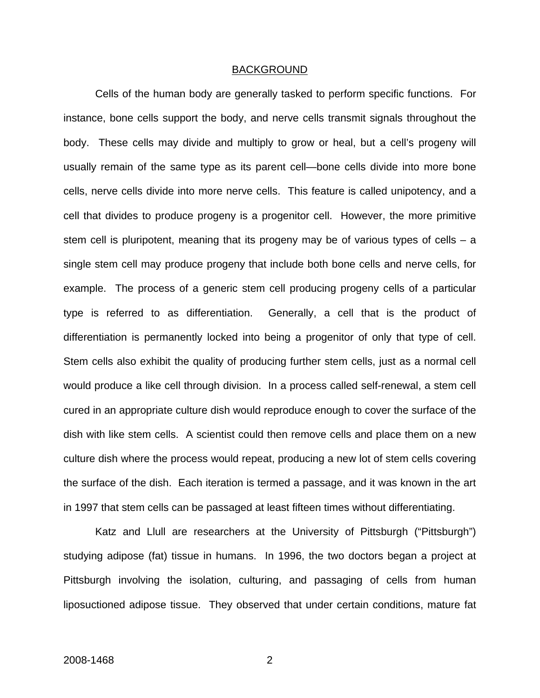#### BACKGROUND

 Cells of the human body are generally tasked to perform specific functions. For instance, bone cells support the body, and nerve cells transmit signals throughout the body. These cells may divide and multiply to grow or heal, but a cell's progeny will usually remain of the same type as its parent cell—bone cells divide into more bone cells, nerve cells divide into more nerve cells. This feature is called unipotency, and a cell that divides to produce progeny is a progenitor cell. However, the more primitive stem cell is pluripotent, meaning that its progeny may be of various types of cells  $- a$ single stem cell may produce progeny that include both bone cells and nerve cells, for example. The process of a generic stem cell producing progeny cells of a particular type is referred to as differentiation. Generally, a cell that is the product of differentiation is permanently locked into being a progenitor of only that type of cell. Stem cells also exhibit the quality of producing further stem cells, just as a normal cell would produce a like cell through division. In a process called self-renewal, a stem cell cured in an appropriate culture dish would reproduce enough to cover the surface of the dish with like stem cells. A scientist could then remove cells and place them on a new culture dish where the process would repeat, producing a new lot of stem cells covering the surface of the dish. Each iteration is termed a passage, and it was known in the art in 1997 that stem cells can be passaged at least fifteen times without differentiating.

Katz and Llull are researchers at the University of Pittsburgh ("Pittsburgh") studying adipose (fat) tissue in humans. In 1996, the two doctors began a project at Pittsburgh involving the isolation, culturing, and passaging of cells from human liposuctioned adipose tissue. They observed that under certain conditions, mature fat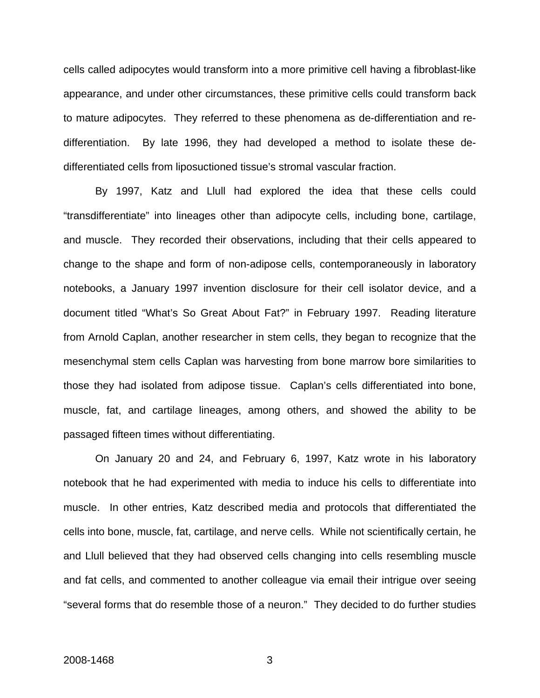cells called adipocytes would transform into a more primitive cell having a fibroblast-like appearance, and under other circumstances, these primitive cells could transform back to mature adipocytes. They referred to these phenomena as de-differentiation and redifferentiation. By late 1996, they had developed a method to isolate these dedifferentiated cells from liposuctioned tissue's stromal vascular fraction.

By 1997, Katz and Llull had explored the idea that these cells could "transdifferentiate" into lineages other than adipocyte cells, including bone, cartilage, and muscle. They recorded their observations, including that their cells appeared to change to the shape and form of non-adipose cells, contemporaneously in laboratory notebooks, a January 1997 invention disclosure for their cell isolator device, and a document titled "What's So Great About Fat?" in February 1997. Reading literature from Arnold Caplan, another researcher in stem cells, they began to recognize that the mesenchymal stem cells Caplan was harvesting from bone marrow bore similarities to those they had isolated from adipose tissue. Caplan's cells differentiated into bone, muscle, fat, and cartilage lineages, among others, and showed the ability to be passaged fifteen times without differentiating.

On January 20 and 24, and February 6, 1997, Katz wrote in his laboratory notebook that he had experimented with media to induce his cells to differentiate into muscle. In other entries, Katz described media and protocols that differentiated the cells into bone, muscle, fat, cartilage, and nerve cells. While not scientifically certain, he and Llull believed that they had observed cells changing into cells resembling muscle and fat cells, and commented to another colleague via email their intrigue over seeing "several forms that do resemble those of a neuron." They decided to do further studies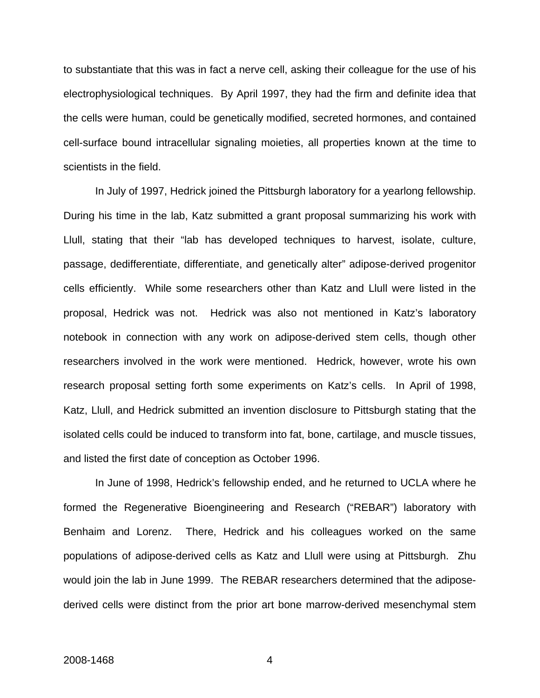to substantiate that this was in fact a nerve cell, asking their colleague for the use of his electrophysiological techniques. By April 1997, they had the firm and definite idea that the cells were human, could be genetically modified, secreted hormones, and contained cell-surface bound intracellular signaling moieties, all properties known at the time to scientists in the field.

In July of 1997, Hedrick joined the Pittsburgh laboratory for a yearlong fellowship. During his time in the lab, Katz submitted a grant proposal summarizing his work with Llull, stating that their "lab has developed techniques to harvest, isolate, culture, passage, dedifferentiate, differentiate, and genetically alter" adipose-derived progenitor cells efficiently. While some researchers other than Katz and Llull were listed in the proposal, Hedrick was not. Hedrick was also not mentioned in Katz's laboratory notebook in connection with any work on adipose-derived stem cells, though other researchers involved in the work were mentioned. Hedrick, however, wrote his own research proposal setting forth some experiments on Katz's cells. In April of 1998, Katz, Llull, and Hedrick submitted an invention disclosure to Pittsburgh stating that the isolated cells could be induced to transform into fat, bone, cartilage, and muscle tissues, and listed the first date of conception as October 1996.

In June of 1998, Hedrick's fellowship ended, and he returned to UCLA where he formed the Regenerative Bioengineering and Research ("REBAR") laboratory with Benhaim and Lorenz. There, Hedrick and his colleagues worked on the same populations of adipose-derived cells as Katz and Llull were using at Pittsburgh. Zhu would join the lab in June 1999. The REBAR researchers determined that the adiposederived cells were distinct from the prior art bone marrow-derived mesenchymal stem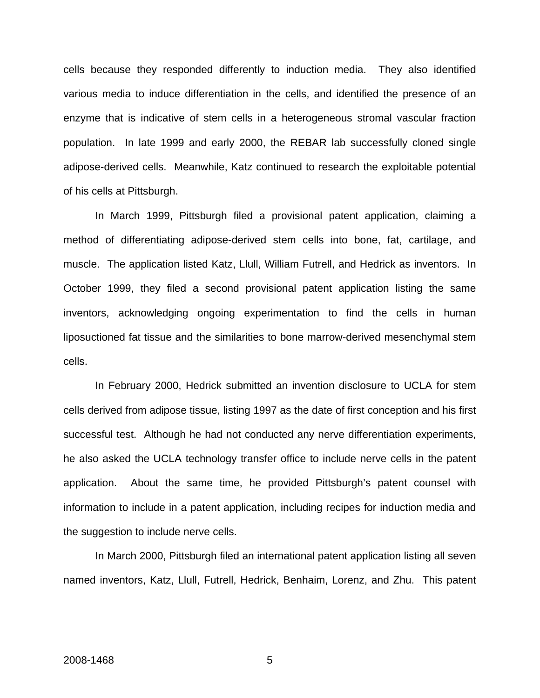cells because they responded differently to induction media. They also identified various media to induce differentiation in the cells, and identified the presence of an enzyme that is indicative of stem cells in a heterogeneous stromal vascular fraction population. In late 1999 and early 2000, the REBAR lab successfully cloned single adipose-derived cells. Meanwhile, Katz continued to research the exploitable potential of his cells at Pittsburgh.

In March 1999, Pittsburgh filed a provisional patent application, claiming a method of differentiating adipose-derived stem cells into bone, fat, cartilage, and muscle. The application listed Katz, Llull, William Futrell, and Hedrick as inventors. In October 1999, they filed a second provisional patent application listing the same inventors, acknowledging ongoing experimentation to find the cells in human liposuctioned fat tissue and the similarities to bone marrow-derived mesenchymal stem cells.

In February 2000, Hedrick submitted an invention disclosure to UCLA for stem cells derived from adipose tissue, listing 1997 as the date of first conception and his first successful test. Although he had not conducted any nerve differentiation experiments, he also asked the UCLA technology transfer office to include nerve cells in the patent application. About the same time, he provided Pittsburgh's patent counsel with information to include in a patent application, including recipes for induction media and the suggestion to include nerve cells.

In March 2000, Pittsburgh filed an international patent application listing all seven named inventors, Katz, Llull, Futrell, Hedrick, Benhaim, Lorenz, and Zhu. This patent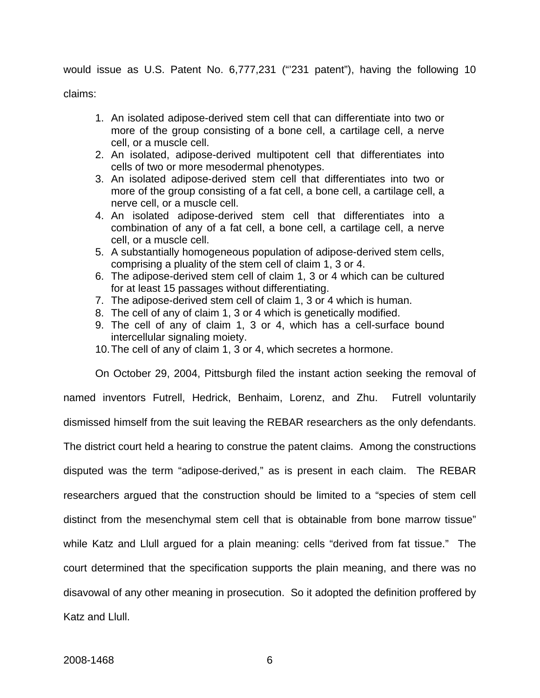would issue as U.S. Patent No. 6,777,231 ("'231 patent"), having the following 10

claims:

- 1. An isolated adipose-derived stem cell that can differentiate into two or more of the group consisting of a bone cell, a cartilage cell, a nerve cell, or a muscle cell.
- 2. An isolated, adipose-derived multipotent cell that differentiates into cells of two or more mesodermal phenotypes.
- 3. An isolated adipose-derived stem cell that differentiates into two or more of the group consisting of a fat cell, a bone cell, a cartilage cell, a nerve cell, or a muscle cell.
- 4. An isolated adipose-derived stem cell that differentiates into a combination of any of a fat cell, a bone cell, a cartilage cell, a nerve cell, or a muscle cell.
- 5. A substantially homogeneous population of adipose-derived stem cells, comprising a pluality of the stem cell of claim 1, 3 or 4.
- 6. The adipose-derived stem cell of claim 1, 3 or 4 which can be cultured for at least 15 passages without differentiating.
- 7. The adipose-derived stem cell of claim 1, 3 or 4 which is human.
- 8. The cell of any of claim 1, 3 or 4 which is genetically modified.
- 9. The cell of any of claim 1, 3 or 4, which has a cell-surface bound intercellular signaling moiety.
- 10. The cell of any of claim 1, 3 or 4, which secretes a hormone.

On October 29, 2004, Pittsburgh filed the instant action seeking the removal of named inventors Futrell, Hedrick, Benhaim, Lorenz, and Zhu. Futrell voluntarily dismissed himself from the suit leaving the REBAR researchers as the only defendants. The district court held a hearing to construe the patent claims. Among the constructions disputed was the term "adipose-derived," as is present in each claim. The REBAR researchers argued that the construction should be limited to a "species of stem cell distinct from the mesenchymal stem cell that is obtainable from bone marrow tissue" while Katz and Llull argued for a plain meaning: cells "derived from fat tissue." The court determined that the specification supports the plain meaning, and there was no disavowal of any other meaning in prosecution. So it adopted the definition proffered by Katz and Llull.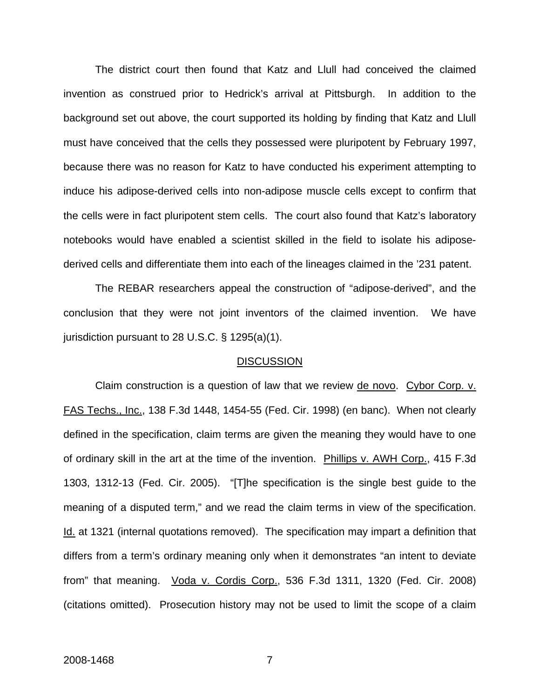The district court then found that Katz and Llull had conceived the claimed invention as construed prior to Hedrick's arrival at Pittsburgh. In addition to the background set out above, the court supported its holding by finding that Katz and Llull must have conceived that the cells they possessed were pluripotent by February 1997, because there was no reason for Katz to have conducted his experiment attempting to induce his adipose-derived cells into non-adipose muscle cells except to confirm that the cells were in fact pluripotent stem cells. The court also found that Katz's laboratory notebooks would have enabled a scientist skilled in the field to isolate his adiposederived cells and differentiate them into each of the lineages claimed in the '231 patent.

The REBAR researchers appeal the construction of "adipose-derived", and the conclusion that they were not joint inventors of the claimed invention. We have jurisdiction pursuant to 28 U.S.C. § 1295(a)(1).

#### **DISCUSSION**

Claim construction is a question of law that we review de novo. Cybor Corp. v. FAS Techs., Inc., 138 F.3d 1448, 1454-55 (Fed. Cir. 1998) (en banc). When not clearly defined in the specification, claim terms are given the meaning they would have to one of ordinary skill in the art at the time of the invention. Phillips v. AWH Corp., 415 F.3d 1303, 1312-13 (Fed. Cir. 2005). "[T]he specification is the single best guide to the meaning of a disputed term," and we read the claim terms in view of the specification. Id. at 1321 (internal quotations removed). The specification may impart a definition that differs from a term's ordinary meaning only when it demonstrates "an intent to deviate from" that meaning. Voda v. Cordis Corp., 536 F.3d 1311, 1320 (Fed. Cir. 2008) (citations omitted). Prosecution history may not be used to limit the scope of a claim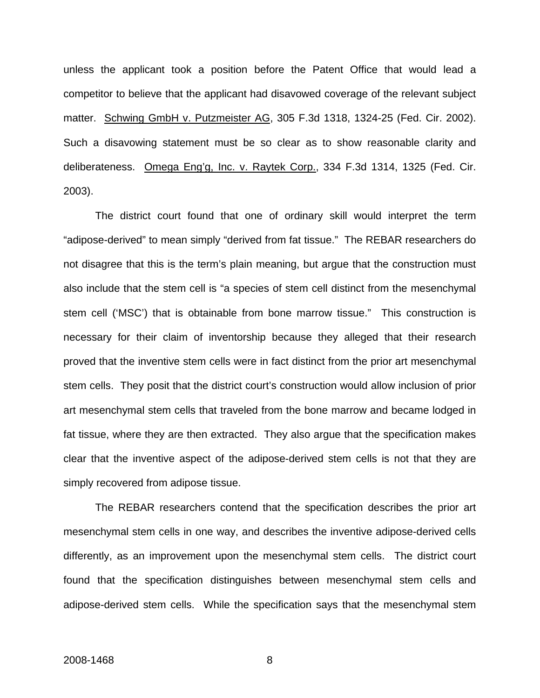unless the applicant took a position before the Patent Office that would lead a competitor to believe that the applicant had disavowed coverage of the relevant subject matter. Schwing GmbH v. Putzmeister AG, 305 F.3d 1318, 1324-25 (Fed. Cir. 2002). Such a disavowing statement must be so clear as to show reasonable clarity and deliberateness. Omega Eng'g, Inc. v. Raytek Corp., 334 F.3d 1314, 1325 (Fed. Cir. 2003).

The district court found that one of ordinary skill would interpret the term "adipose-derived" to mean simply "derived from fat tissue." The REBAR researchers do not disagree that this is the term's plain meaning, but argue that the construction must also include that the stem cell is "a species of stem cell distinct from the mesenchymal stem cell ('MSC') that is obtainable from bone marrow tissue." This construction is necessary for their claim of inventorship because they alleged that their research proved that the inventive stem cells were in fact distinct from the prior art mesenchymal stem cells. They posit that the district court's construction would allow inclusion of prior art mesenchymal stem cells that traveled from the bone marrow and became lodged in fat tissue, where they are then extracted. They also argue that the specification makes clear that the inventive aspect of the adipose-derived stem cells is not that they are simply recovered from adipose tissue.

The REBAR researchers contend that the specification describes the prior art mesenchymal stem cells in one way, and describes the inventive adipose-derived cells differently, as an improvement upon the mesenchymal stem cells. The district court found that the specification distinguishes between mesenchymal stem cells and adipose-derived stem cells. While the specification says that the mesenchymal stem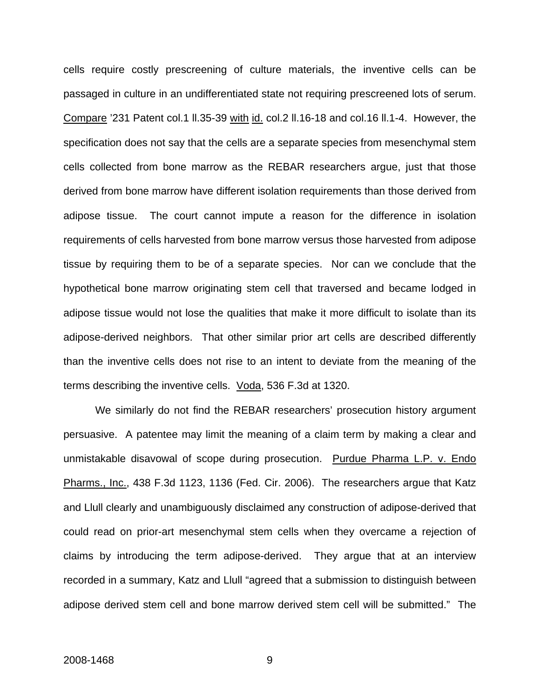cells require costly prescreening of culture materials, the inventive cells can be passaged in culture in an undifferentiated state not requiring prescreened lots of serum. Compare '231 Patent col.1 ll.35-39 with id. col.2 ll.16-18 and col.16 ll.1-4. However, the specification does not say that the cells are a separate species from mesenchymal stem cells collected from bone marrow as the REBAR researchers argue, just that those derived from bone marrow have different isolation requirements than those derived from adipose tissue. The court cannot impute a reason for the difference in isolation requirements of cells harvested from bone marrow versus those harvested from adipose tissue by requiring them to be of a separate species. Nor can we conclude that the hypothetical bone marrow originating stem cell that traversed and became lodged in adipose tissue would not lose the qualities that make it more difficult to isolate than its adipose-derived neighbors. That other similar prior art cells are described differently than the inventive cells does not rise to an intent to deviate from the meaning of the terms describing the inventive cells. Voda, 536 F.3d at 1320.

We similarly do not find the REBAR researchers' prosecution history argument persuasive. A patentee may limit the meaning of a claim term by making a clear and unmistakable disavowal of scope during prosecution. Purdue Pharma L.P. v. Endo Pharms., Inc., 438 F.3d 1123, 1136 (Fed. Cir. 2006). The researchers argue that Katz and Llull clearly and unambiguously disclaimed any construction of adipose-derived that could read on prior-art mesenchymal stem cells when they overcame a rejection of claims by introducing the term adipose-derived. They argue that at an interview recorded in a summary, Katz and Llull "agreed that a submission to distinguish between adipose derived stem cell and bone marrow derived stem cell will be submitted." The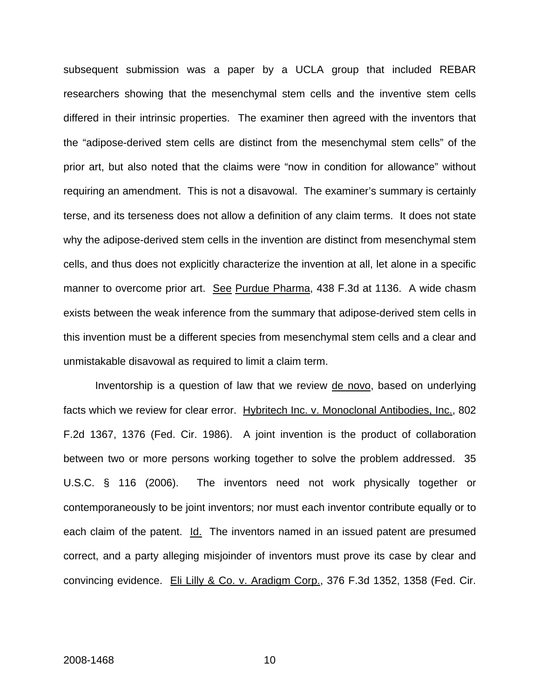subsequent submission was a paper by a UCLA group that included REBAR researchers showing that the mesenchymal stem cells and the inventive stem cells differed in their intrinsic properties. The examiner then agreed with the inventors that the "adipose-derived stem cells are distinct from the mesenchymal stem cells" of the prior art, but also noted that the claims were "now in condition for allowance" without requiring an amendment. This is not a disavowal. The examiner's summary is certainly terse, and its terseness does not allow a definition of any claim terms. It does not state why the adipose-derived stem cells in the invention are distinct from mesenchymal stem cells, and thus does not explicitly characterize the invention at all, let alone in a specific manner to overcome prior art. See Purdue Pharma, 438 F.3d at 1136. A wide chasm exists between the weak inference from the summary that adipose-derived stem cells in this invention must be a different species from mesenchymal stem cells and a clear and unmistakable disavowal as required to limit a claim term.

Inventorship is a question of law that we review de novo, based on underlying facts which we review for clear error. Hybritech Inc. v. Monoclonal Antibodies, Inc., 802 F.2d 1367, 1376 (Fed. Cir. 1986). A joint invention is the product of collaboration between two or more persons working together to solve the problem addressed. 35 U.S.C. § 116 (2006). The inventors need not work physically together or contemporaneously to be joint inventors; nor must each inventor contribute equally or to each claim of the patent. Id. The inventors named in an issued patent are presumed correct, and a party alleging misjoinder of inventors must prove its case by clear and convincing evidence. Eli Lilly & Co. v. Aradigm Corp., 376 F.3d 1352, 1358 (Fed. Cir.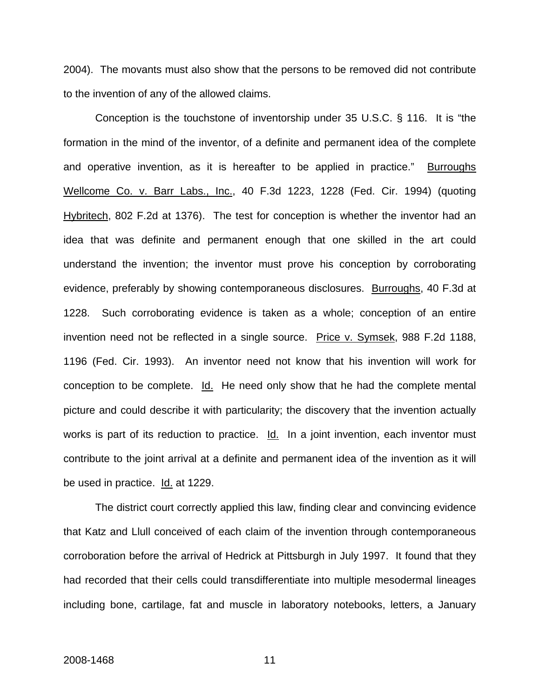2004). The movants must also show that the persons to be removed did not contribute to the invention of any of the allowed claims.

Conception is the touchstone of inventorship under 35 U.S.C. § 116. It is "the formation in the mind of the inventor, of a definite and permanent idea of the complete and operative invention, as it is hereafter to be applied in practice." Burroughs Wellcome Co. v. Barr Labs., Inc., 40 F.3d 1223, 1228 (Fed. Cir. 1994) (quoting Hybritech, 802 F.2d at 1376). The test for conception is whether the inventor had an idea that was definite and permanent enough that one skilled in the art could understand the invention; the inventor must prove his conception by corroborating evidence, preferably by showing contemporaneous disclosures. Burroughs, 40 F.3d at 1228. Such corroborating evidence is taken as a whole; conception of an entire invention need not be reflected in a single source. Price v. Symsek, 988 F.2d 1188, 1196 (Fed. Cir. 1993). An inventor need not know that his invention will work for conception to be complete. Id. He need only show that he had the complete mental picture and could describe it with particularity; the discovery that the invention actually works is part of its reduction to practice. Id. In a joint invention, each inventor must contribute to the joint arrival at a definite and permanent idea of the invention as it will be used in practice. Id. at 1229.

The district court correctly applied this law, finding clear and convincing evidence that Katz and Llull conceived of each claim of the invention through contemporaneous corroboration before the arrival of Hedrick at Pittsburgh in July 1997. It found that they had recorded that their cells could transdifferentiate into multiple mesodermal lineages including bone, cartilage, fat and muscle in laboratory notebooks, letters, a January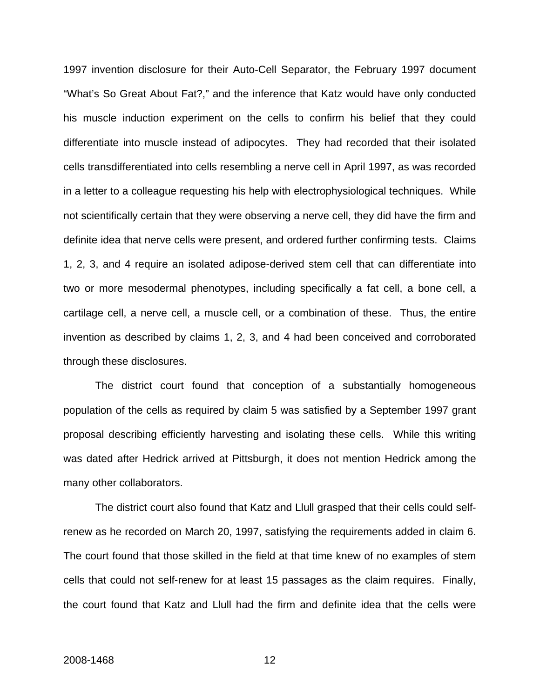1997 invention disclosure for their Auto-Cell Separator, the February 1997 document "What's So Great About Fat?," and the inference that Katz would have only conducted his muscle induction experiment on the cells to confirm his belief that they could differentiate into muscle instead of adipocytes. They had recorded that their isolated cells transdifferentiated into cells resembling a nerve cell in April 1997, as was recorded in a letter to a colleague requesting his help with electrophysiological techniques. While not scientifically certain that they were observing a nerve cell, they did have the firm and definite idea that nerve cells were present, and ordered further confirming tests. Claims 1, 2, 3, and 4 require an isolated adipose-derived stem cell that can differentiate into two or more mesodermal phenotypes, including specifically a fat cell, a bone cell, a cartilage cell, a nerve cell, a muscle cell, or a combination of these. Thus, the entire invention as described by claims 1, 2, 3, and 4 had been conceived and corroborated through these disclosures.

The district court found that conception of a substantially homogeneous population of the cells as required by claim 5 was satisfied by a September 1997 grant proposal describing efficiently harvesting and isolating these cells. While this writing was dated after Hedrick arrived at Pittsburgh, it does not mention Hedrick among the many other collaborators.

The district court also found that Katz and Llull grasped that their cells could selfrenew as he recorded on March 20, 1997, satisfying the requirements added in claim 6. The court found that those skilled in the field at that time knew of no examples of stem cells that could not self-renew for at least 15 passages as the claim requires. Finally, the court found that Katz and Llull had the firm and definite idea that the cells were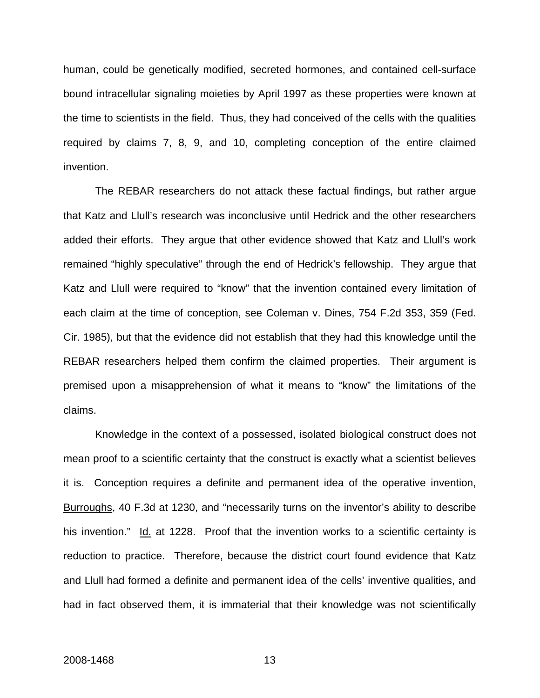human, could be genetically modified, secreted hormones, and contained cell-surface bound intracellular signaling moieties by April 1997 as these properties were known at the time to scientists in the field. Thus, they had conceived of the cells with the qualities required by claims 7, 8, 9, and 10, completing conception of the entire claimed invention.

The REBAR researchers do not attack these factual findings, but rather argue that Katz and Llull's research was inconclusive until Hedrick and the other researchers added their efforts. They argue that other evidence showed that Katz and Llull's work remained "highly speculative" through the end of Hedrick's fellowship. They argue that Katz and Llull were required to "know" that the invention contained every limitation of each claim at the time of conception, see Coleman v. Dines, 754 F.2d 353, 359 (Fed. Cir. 1985), but that the evidence did not establish that they had this knowledge until the REBAR researchers helped them confirm the claimed properties. Their argument is premised upon a misapprehension of what it means to "know" the limitations of the claims.

Knowledge in the context of a possessed, isolated biological construct does not mean proof to a scientific certainty that the construct is exactly what a scientist believes it is. Conception requires a definite and permanent idea of the operative invention, Burroughs, 40 F.3d at 1230, and "necessarily turns on the inventor's ability to describe his invention." Id. at 1228. Proof that the invention works to a scientific certainty is reduction to practice. Therefore, because the district court found evidence that Katz and Llull had formed a definite and permanent idea of the cells' inventive qualities, and had in fact observed them, it is immaterial that their knowledge was not scientifically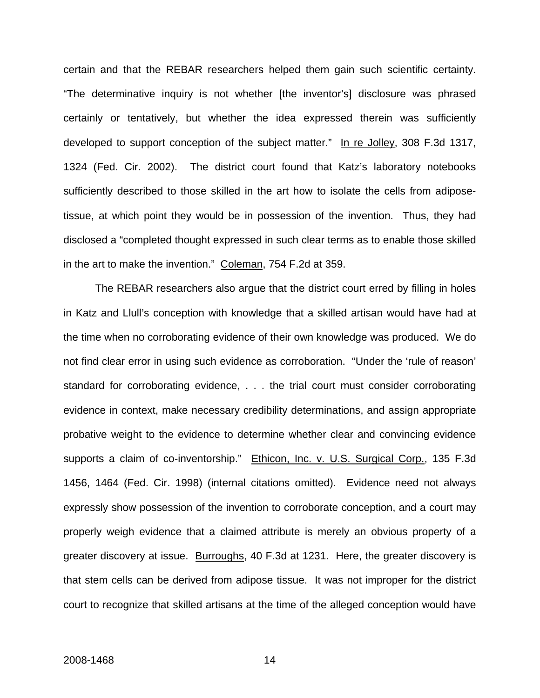certain and that the REBAR researchers helped them gain such scientific certainty. "The determinative inquiry is not whether [the inventor's] disclosure was phrased certainly or tentatively, but whether the idea expressed therein was sufficiently developed to support conception of the subject matter." In re Jolley, 308 F.3d 1317, 1324 (Fed. Cir. 2002). The district court found that Katz's laboratory notebooks sufficiently described to those skilled in the art how to isolate the cells from adiposetissue, at which point they would be in possession of the invention. Thus, they had disclosed a "completed thought expressed in such clear terms as to enable those skilled in the art to make the invention." Coleman, 754 F.2d at 359.

The REBAR researchers also argue that the district court erred by filling in holes in Katz and Llull's conception with knowledge that a skilled artisan would have had at the time when no corroborating evidence of their own knowledge was produced. We do not find clear error in using such evidence as corroboration. "Under the 'rule of reason' standard for corroborating evidence, . . . the trial court must consider corroborating evidence in context, make necessary credibility determinations, and assign appropriate probative weight to the evidence to determine whether clear and convincing evidence supports a claim of co-inventorship." Ethicon, Inc. v. U.S. Surgical Corp., 135 F.3d 1456, 1464 (Fed. Cir. 1998) (internal citations omitted). Evidence need not always expressly show possession of the invention to corroborate conception, and a court may properly weigh evidence that a claimed attribute is merely an obvious property of a greater discovery at issue. Burroughs, 40 F.3d at 1231. Here, the greater discovery is that stem cells can be derived from adipose tissue. It was not improper for the district court to recognize that skilled artisans at the time of the alleged conception would have